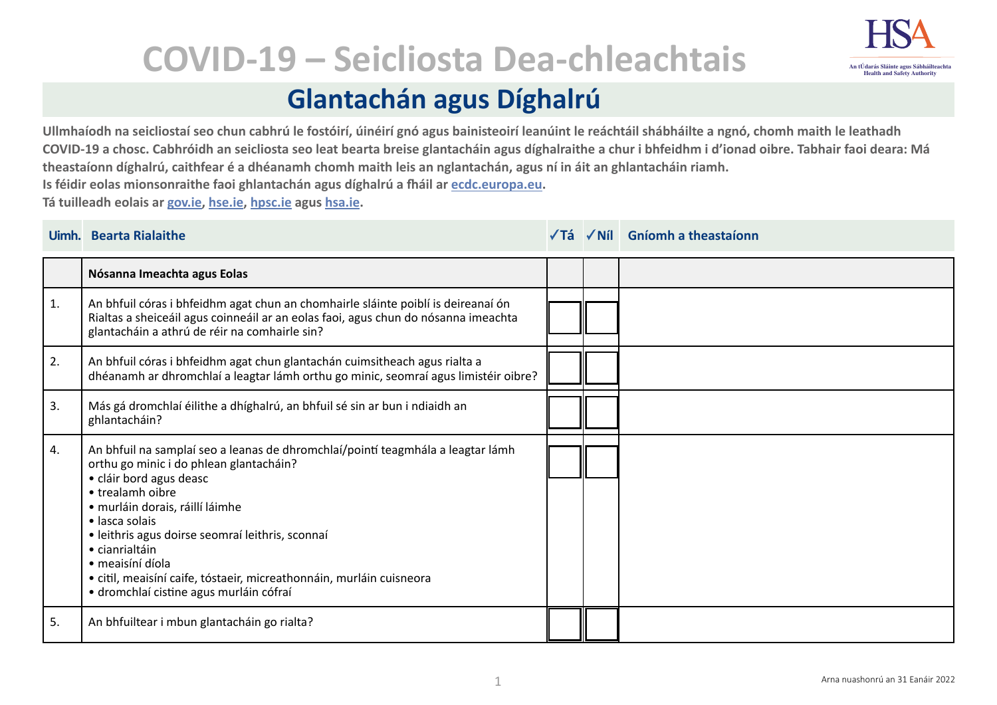

## **COVID-19 – Seicliosta Dea-chleachtais**

## **Glantachán agus Díghalrú**

**Ullmhaíodh na seicliostaí seo chun cabhrú le fostóirí, úinéirí gnó agus bainisteoirí leanúint le reáchtáil shábháilte a ngnó, chomh maith le leathadh COVID-19 a chosc. Cabhróidh an seicliosta seo leat bearta breise glantacháin agus díghalraithe a chur i bhfeidhm i d'ionad oibre. Tabhair faoi deara: Má theastaíonn díghalrú, caithfear é a dhéanamh chomh maith leis an nglantachán, agus ní in áit an ghlantacháin riamh.**

**Is féidir eolas mionsonraithe faoi ghlantachán agus díghalrú a fháil ar [ecdc.europa.eu.](https://www.ecdc.europa.eu/sites/default/files/documents/Environmental-persistence-of-SARS_CoV_2-virus-Options-for-cleaning2020-03-26_0.pdf)**

**Tá tuilleadh eolais ar [gov.ie](https://www.gov.ie/en/campaigns/c36c85-covid-19-coronavirus/), [hse.ie,](https://www2.hse.ie/conditions/covid19/) [hpsc.ie](https://www.hpsc.ie/a-z/respiratory/coronavirus/novelcoronavirus/) agus [hsa.ie.](https://www.hsa.ie/eng/topics/covid-19_coronavirus_information_and_resources/)** 

|    | Uimh. Bearta Rialaithe                                                                                                                                                                                                                                                                                                                                                                                                                      | √Tá | $\sqrt{N}$ il Gníomh a theastaíonn |
|----|---------------------------------------------------------------------------------------------------------------------------------------------------------------------------------------------------------------------------------------------------------------------------------------------------------------------------------------------------------------------------------------------------------------------------------------------|-----|------------------------------------|
|    | Nósanna Imeachta agus Eolas                                                                                                                                                                                                                                                                                                                                                                                                                 |     |                                    |
| 1. | An bhfuil córas i bhfeidhm agat chun an chomhairle sláinte poiblí is deireanaí ón<br>Rialtas a sheiceáil agus coinneáil ar an eolas faoi, agus chun do nósanna imeachta<br>glantacháin a athrú de réir na comhairle sin?                                                                                                                                                                                                                    |     |                                    |
| 2. | An bhfuil córas i bhfeidhm agat chun glantachán cuimsitheach agus rialta a<br>dhéanamh ar dhromchlaí a leagtar lámh orthu go minic, seomraí agus limistéir oibre?                                                                                                                                                                                                                                                                           |     |                                    |
| 3. | Más gá dromchlaí éilithe a dhíghalrú, an bhfuil sé sin ar bun i ndiaidh an<br>ghlantacháin?                                                                                                                                                                                                                                                                                                                                                 |     |                                    |
| 4. | An bhfuil na samplaí seo a leanas de dhromchlaí/pointí teagmhála a leagtar lámh<br>orthu go minic i do phlean glantacháin?<br>· cláir bord agus deasc<br>• trealamh oibre<br>· murláin dorais, ráillí láimhe<br>• lasca solais<br>· leithris agus doirse seomraí leithris, sconnaí<br>• cianrialtáin<br>· meaisíní díola<br>· citil, meaisíní caife, tóstaeir, micreathonnáin, murláin cuisneora<br>· dromchlaí cistine agus murláin cófraí |     |                                    |
| 5. | An bhfuiltear i mbun glantacháin go rialta?                                                                                                                                                                                                                                                                                                                                                                                                 |     |                                    |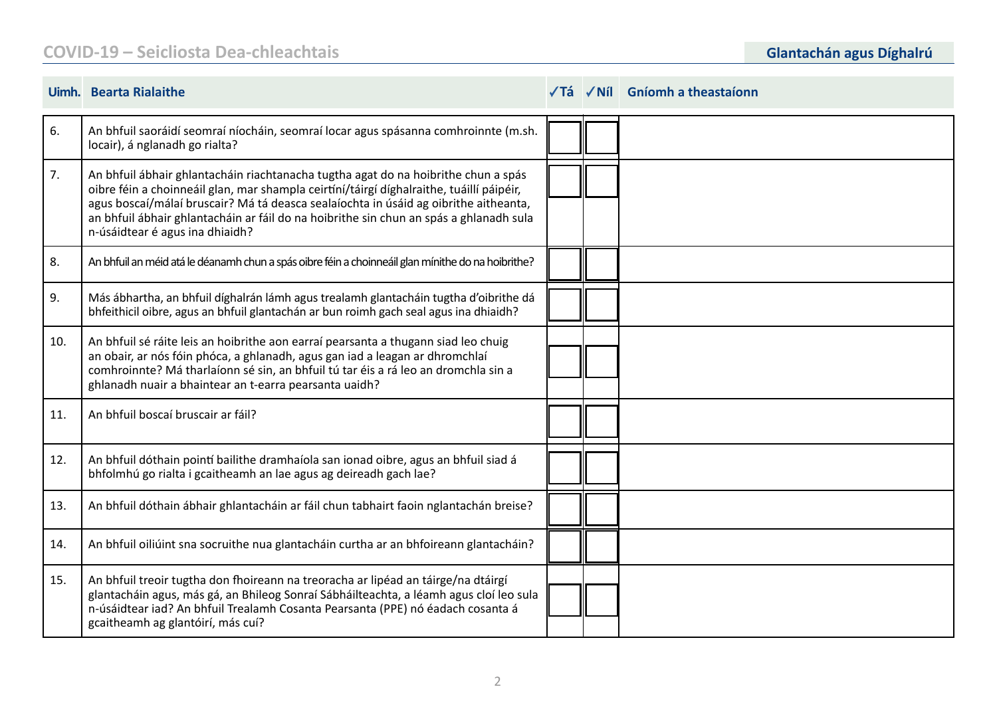## **COVID-19 – Seicliosta Dea-chleachtais Glantachán agus Díghalrú**

|     | Uimh. Bearta Rialaithe                                                                                                                                                                                                                                                                                                                                                                              |  | √Tá √Níl Gníomh a theastaíonn |
|-----|-----------------------------------------------------------------------------------------------------------------------------------------------------------------------------------------------------------------------------------------------------------------------------------------------------------------------------------------------------------------------------------------------------|--|-------------------------------|
| 6.  | An bhfuil saoráidí seomraí níocháin, seomraí locar agus spásanna comhroinnte (m.sh.<br>locair), á nglanadh go rialta?                                                                                                                                                                                                                                                                               |  |                               |
| 7.  | An bhfuil ábhair ghlantacháin riachtanacha tugtha agat do na hoibrithe chun a spás<br>oibre féin a choinneáil glan, mar shampla ceirtíní/táirgí díghalraithe, tuáillí páipéir,<br>agus boscaí/málaí bruscair? Má tá deasca sealaíochta in úsáid ag oibrithe aitheanta,<br>an bhfuil ábhair ghlantacháin ar fáil do na hoibrithe sin chun an spás a ghlanadh sula<br>n-úsáidtear é agus ina dhiaidh? |  |                               |
| 8.  | An bhfuil an méid atá le déanamh chun a spás oibre féin a choinneáil glan mínithe do na hoibrithe?                                                                                                                                                                                                                                                                                                  |  |                               |
| 9.  | Más ábhartha, an bhfuil díghalrán lámh agus trealamh glantacháin tugtha d'oibrithe dá<br>bhfeithicil oibre, agus an bhfuil glantachán ar bun roimh gach seal agus ina dhiaidh?                                                                                                                                                                                                                      |  |                               |
| 10. | An bhfuil sé ráite leis an hoibrithe aon earraí pearsanta a thugann siad leo chuig<br>an obair, ar nós fóin phóca, a ghlanadh, agus gan iad a leagan ar dhromchlaí<br>comhroinnte? Má tharlaíonn sé sin, an bhfuil tú tar éis a rá leo an dromchla sin a<br>ghlanadh nuair a bhaintear an t-earra pearsanta uaidh?                                                                                  |  |                               |
| 11. | An bhfuil boscaí bruscair ar fáil?                                                                                                                                                                                                                                                                                                                                                                  |  |                               |
| 12. | An bhfuil dóthain pointí bailithe dramhaíola san ionad oibre, agus an bhfuil siad á<br>bhfolmhú go rialta i gcaitheamh an lae agus ag deireadh gach lae?                                                                                                                                                                                                                                            |  |                               |
| 13. | An bhfuil dóthain ábhair ghlantacháin ar fáil chun tabhairt faoin nglantachán breise?                                                                                                                                                                                                                                                                                                               |  |                               |
| 14. | An bhfuil oiliúint sna socruithe nua glantacháin curtha ar an bhfoireann glantacháin?                                                                                                                                                                                                                                                                                                               |  |                               |
| 15. | An bhfuil treoir tugtha don fhoireann na treoracha ar lipéad an táirge/na dtáirgí<br>glantacháin agus, más gá, an Bhileog Sonraí Sábháilteachta, a léamh agus cloí leo sula<br>n-úsáidtear iad? An bhfuil Trealamh Cosanta Pearsanta (PPE) nó éadach cosanta á<br>gcaitheamh ag glantóirí, más cuí?                                                                                                 |  |                               |